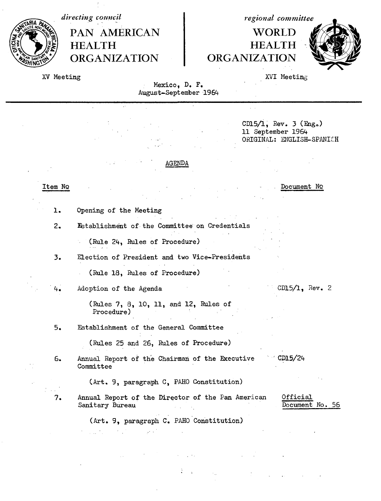*directing council* PAN AMERICAN **HEALTH ORGANIZATION** 

*regional committee*

## WORLD HEALTH **ORGANIZATION**



XV Meeting

XVI Meeting

Mexico, D. F. August-September 1964

 $\ddot{\phantom{a}}$ 

|         | CD15/1, Rev. 3 $(Enga)$<br>11 September 1964<br>ORIGINAL: ENGLISH-SPANISH                           |
|---------|-----------------------------------------------------------------------------------------------------|
|         | <b>AGENDA</b>                                                                                       |
| Item No | Document No                                                                                         |
| ı.      | Opening of the Meeting                                                                              |
| 2.      | Establishment of the Committee on Credentials                                                       |
|         | (Rule 24, Rules of Procedure)                                                                       |
| 3.      | Election of President and two Vice-Presidents                                                       |
|         | (Rule 18, Rules of Procedure)                                                                       |
| 4.      | $CD15/1$ , Rev. 2<br>Adoption of the Agenda                                                         |
|         | (Rules 7, 8, 10, 11, and 12, Rules of<br>Procedure)                                                 |
| 5.      | Establishment of the General Committee                                                              |
|         | (Rules 25 and 26, Rules of Procedure)                                                               |
| 6.      | CD15/24<br>Annual Report of the Chairman of the Executive<br>Committee                              |
|         | (Art. 9, paragraph C, PAHO Constitution)                                                            |
| 7.      | Official<br>Annual Report of the Director of the Pan American<br>Document No. 56<br>Sanitary Bureau |
|         | (Art. 9, paragraph C. PAHO Constitution)                                                            |
|         |                                                                                                     |

 $\mathcal{L}^{(1,1)}$  .

ż  $\sim$   $\lambda$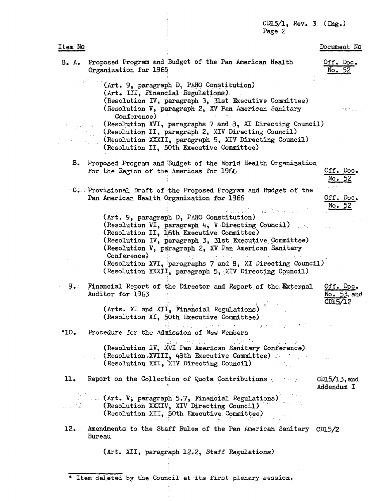|         |                                           | $CD15/1$ , Rev. 3. (Eng.)<br>Page 2                                                                                                                                                                                                                                                                                                                                                                                          |                                     |
|---------|-------------------------------------------|------------------------------------------------------------------------------------------------------------------------------------------------------------------------------------------------------------------------------------------------------------------------------------------------------------------------------------------------------------------------------------------------------------------------------|-------------------------------------|
| Item NQ |                                           |                                                                                                                                                                                                                                                                                                                                                                                                                              | Document No                         |
|         | Organization for 1965                     | 8. A. Proposed Program and Budget of the Pan American Health                                                                                                                                                                                                                                                                                                                                                                 | Off. Doc.<br>No. 52                 |
|         | Conference)<br>$\mathcal{L}^{\text{max}}$ | (Art. 9, paragraph D, PAHO Constitution)<br>(Art. III, Financial Regulations).<br>(Resolution IV, paragraph 3, 31st Executive Committee)<br>(Resolution V, paragraph 2, XV Pan American Sanitary<br>(Resolution XVI, paragraphs 7 and 8, XI Directing Council)<br>(Resolution II, paragraph 2, XIV Directing Council)<br>(Resolution XXXII, paragraph 5, XIV Directing Council)<br>(Resolution II, 50th Executive Committee) | n profilio i li                     |
|         | for the Region of the Americas for 1966   | B. Proposed Program and Budget of the World Health Organization                                                                                                                                                                                                                                                                                                                                                              | Off. Doc.<br>No. 52                 |
|         | Pan American Health Organization for 1966 | C. Provisional Draft of the Proposed Program and Budget of the<br>is ad firm of the<br>(Art. 9, paragraph D, PAHO Constitution)                                                                                                                                                                                                                                                                                              | Off. Doc.<br>No. 52                 |
|         | Conference)                               | (Resolution VI, paragraph 4, V Directing Council)<br>(Resolution II, 16th Executive Committee)<br>(Resolution IV, paragraph 3, 31st Executive Committee)<br>(Resolution V, paragraph 2, XV Pan American Sanitary<br>(Resolution XVI, paragraphs 7 and 8, XI Directing Council)<br>(Resolution XXXII, paragraph 5, XIV Directing Council)                                                                                     | έ÷                                  |
| 9.      | Auditor for 1963                          | Financial Report of the Director and Report of the External<br>左にも<br>(Arts. XI and XII, Financial Regulations)<br>(Resolution XI, 50th Executive Committee)                                                                                                                                                                                                                                                                 | Off. Doc.<br>No. 53, and<br>CD15/12 |
| 10.     |                                           | ひとう アール・アル きょうしょう かいしょう<br>Procedure for the Admission of New Members<br>$\mathcal{O}(\mathcal{M}_{\mathbf{C}})$ and $\mathcal{O}(\mathcal{O}_{\mathbf{C}})$ . The set of $\mathcal{O}_{\mathbf{C}}$<br>(Resolution IV, XVI Pan American Sanitary Conference)<br>(Resolution XVIII, 48th Executive Committee)<br>(Resolution XXI, XIV Directing Council)                                                                     |                                     |
| 11.     |                                           | Report on the Collection of Quota Contributions                                                                                                                                                                                                                                                                                                                                                                              | $CD15/13$ , and<br>Addendum I       |
|         |                                           | (Art. V, paragraph 5.7, Financial Regulations)<br>(Resolution XXXIV, XIV Directing Council)<br>(Resolution XII, 50th Executive Committee)                                                                                                                                                                                                                                                                                    |                                     |
|         | Bureau                                    | 12. Amendments to the Staff Rules of the Pan American Sanitary CD15/2                                                                                                                                                                                                                                                                                                                                                        |                                     |
|         |                                           |                                                                                                                                                                                                                                                                                                                                                                                                                              |                                     |

(Art. XII, paragraph 12.2, Staff Regulations)

\* Item deleted by the Council at its first plenary session.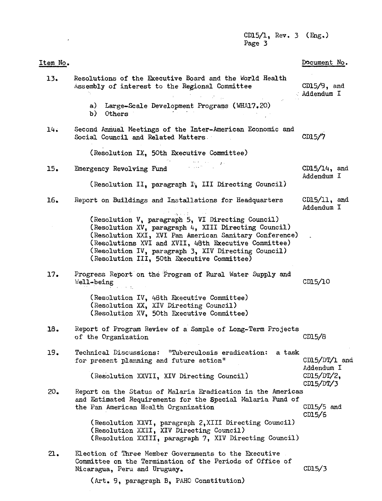CD15/1, Rev. 3 (Eng.) Page 3

| It <u>em</u> No. |                                                                                                                                                                                                                                                                                                                                  | Document No.                  |
|------------------|----------------------------------------------------------------------------------------------------------------------------------------------------------------------------------------------------------------------------------------------------------------------------------------------------------------------------------|-------------------------------|
| 13.              | Resolutions of the Executive Board and the World Health<br>Assembly of interest to the Regional Committee                                                                                                                                                                                                                        | $CD15/9$ , and<br>Addendum I  |
|                  | a) Large-Scale Development Programs (WHA17.20)<br>b)<br>Others                                                                                                                                                                                                                                                                   |                               |
| 14.              | Second Annual Meetings of the Inter-American Economic and<br>Social Council and Related Matters.                                                                                                                                                                                                                                 | CD15/7                        |
|                  | (Resolution IX, 50th Executive Committee)                                                                                                                                                                                                                                                                                        |                               |
| 15.              | Emergency Revolving Fund                                                                                                                                                                                                                                                                                                         | $CD15/14$ , and<br>Addendum I |
|                  | (Resolution II, paragraph I, III Directing Council)                                                                                                                                                                                                                                                                              |                               |
| 16.              | Report on Buildings and Installations for Headquarters<br><b>Service State State</b>                                                                                                                                                                                                                                             | $CD15/11$ , and<br>Addendum I |
|                  | (Resolution V, paragraph 5, VI Directing Council)<br>(Resolution XV, paragraph 4, XIII Directing Council)<br>(Resolution XXI, XVI Pan American Sanitary Conference)<br>(Resolutions XVI and XVII, 48th Executive Committee)<br>(Resolution IV, paragraph 3, XIV Directing Council)<br>(Resolution III, 50th Executive Committee) |                               |
| 17.              | Progress Report on the Program of Rural Water Supply and<br>Well-being                                                                                                                                                                                                                                                           | CD15/10                       |
|                  | (Resolution IV, 48th Executive Committee)<br>(Resolution XX, XIV Directing Council)<br>(Resolution XV, 50th Executive Committee)                                                                                                                                                                                                 |                               |
| 18.              | Report of Program Review of a Sample of Long-Term Projects<br>of the Organization                                                                                                                                                                                                                                                | CD15/B                        |
| 19.              | Technical Discussions: "Tuberculosis eradication: a task<br>for present planning and future action"                                                                                                                                                                                                                              | $CDI5/DT/I$ and<br>Addendum I |
|                  | (Resolution XXVII, XIV Directing Council)                                                                                                                                                                                                                                                                                        | $CD15/DT/2$ ,<br>CD15/DT/3    |
| 20 <sub>o</sub>  | Report on the Status of Malaria Eradication in the Americas<br>and Estimated Requirements for the Special Malaria Fund of<br>the Pan American Health Organization                                                                                                                                                                | $CD15/5$ and<br>CD15/6        |
|                  | (Resolution XXVI, paragraph 2, XIII Directing Council)<br>(Resolution XXII, XIV Directing Council)<br>(Resolution XXIII, paragraph 7, XIV Directing Council)                                                                                                                                                                     |                               |
| 21.              | Election of Three Member Governments to the Executive<br>Committee on the Termination of the Periods of Office of<br>Nicaragua, Peru and Uruguay.                                                                                                                                                                                | CD15/3                        |
|                  | (Art. 9, paragraph B, PAHO Constitution)                                                                                                                                                                                                                                                                                         |                               |

 $\mathcal{L}^{\text{max}}_{\text{max}}$  , where  $\mathcal{L}^{\text{max}}_{\text{max}}$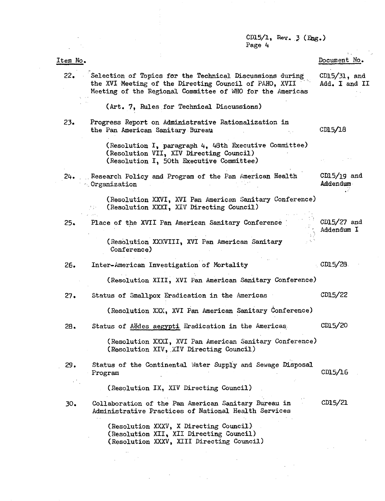CD15/1, Rev. 3 (Eng.) Page 4

Document No.

CD15/18

 $CD15/19$  and Addendum

CD15/27 and Addendum I

## Item No.

22. Selection of Topics foar the Technical Discussions during the XVI Meeting of the Directing Council of PAHO, XVII Meeting of the Regional Committee of WHO for the Americas CDl5/31, and Add. I and II

## (Art. 7, Rules for Technical Discussions)

23. Progress Report on Administrative Rationalization in the Pan American Sanitary Bureau

> (Resolution I, paragraph 4, 48th Executive Committee) (Resolution VII, XIV Directing Council) (Resolution I, 50th Executive Committee)

24. . Research Policy and Program of the Pan American Health . Organization

> (Resolution XXVI, XVI Pan American Sanitary Conference)  $\frac{1}{2}$  ,  $\frac{1}{2}$ (Resolution XXXI, XIV Directing Council)

25. Place of the XVII Pan American Sanitary Conference

(Resolution XXXVIII, XVI Pan American Sanitary Conference)

26. Inter-American Investigation of Mortality CD15/28.

(Resolution XIII, XVI Pan American Sanitary Conference)

27. Status of Smallpox Eradication in the Americas CD15/22

(Resolution XXX, XVI Pan American Sanitary Conference)

28. Status of Aedes aegypti Eradication in the Americas CD15/20

> (Resolution XXXI, XVI Pan American Sanitary Conference) (Resolution XIV, XI'V Directing Council)

29. Status of the Continental Water Supply and Sewage Disposal Program CD15/16

(Resolution IX, XIV Directing Council)

30. Collaboration of the Pan American Sanitary Bureau in Administrative Practices of National Health Services CDl5/21

> (Resolution XXXV, X Directing Council) (Resolution XII, XII Directing Council) (Resolution XXXV, XIII Directing Council)